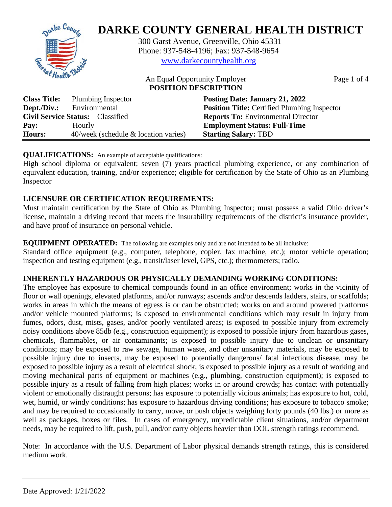

| $\sim$      | $\frac{1}{2}$ random <sub>s</sub> moperture | $1$ obting Date: bandary 21, 2022                   |
|-------------|---------------------------------------------|-----------------------------------------------------|
| Dept./Div.: | Environmental                               | <b>Position Title:</b> Certified Plumbing Inspector |
|             | <b>Civil Service Status:</b> Classified     | <b>Reports To: Environmental Director</b>           |
| Pay:        | Hourly                                      | <b>Employment Status: Full-Time</b>                 |
| Hours:      | $40$ /week (schedule & location varies)     | <b>Starting Salary: TBD</b>                         |

# **QUALIFICATIONS:** An example of acceptable qualifications:

High school diploma or equivalent; seven (7) years practical plumbing experience, or any combination of equivalent education, training, and/or experience; eligible for certification by the State of Ohio as an Plumbing Inspector

# **LICENSURE OR CERTIFICATION REQUIREMENTS:**

Must maintain certification by the State of Ohio as Plumbing Inspector; must possess a valid Ohio driver's license, maintain a driving record that meets the insurability requirements of the district's insurance provider, and have proof of insurance on personal vehicle.

### **EQUIPMENT OPERATED:** The following are examples only and are not intended to be all inclusive:

Standard office equipment (e.g., computer, telephone, copier, fax machine, etc.); motor vehicle operation; inspection and testing equipment (e.g., transit/laser level, GPS, etc.); thermometers; radio.

# **INHERENTLY HAZARDOUS OR PHYSICALLY DEMANDING WORKING CONDITIONS:**

The employee has exposure to chemical compounds found in an office environment; works in the vicinity of floor or wall openings, elevated platforms, and/or runways; ascends and/or descends ladders, stairs, or scaffolds; works in areas in which the means of egress is or can be obstructed; works on and around powered platforms and/or vehicle mounted platforms; is exposed to environmental conditions which may result in injury from fumes, odors, dust, mists, gases, and/or poorly ventilated areas; is exposed to possible injury from extremely noisy conditions above 85db (e.g., construction equipment); is exposed to possible injury from hazardous gases, chemicals, flammables, or air contaminants; is exposed to possible injury due to unclean or unsanitary conditions; may be exposed to raw sewage, human waste, and other unsanitary materials, may be exposed to possible injury due to insects, may be exposed to potentially dangerous/ fatal infectious disease, may be exposed to possible injury as a result of electrical shock; is exposed to possible injury as a result of working and moving mechanical parts of equipment or machines (e.g., plumbing, construction equipment); is exposed to possible injury as a result of falling from high places; works in or around crowds; has contact with potentially violent or emotionally distraught persons; has exposure to potentially vicious animals; has exposure to hot, cold, wet, humid, or windy conditions; has exposure to hazardous driving conditions; has exposure to tobacco smoke; and may be required to occasionally to carry, move, or push objects weighing forty pounds (40 lbs.) or more as well as packages, boxes or files. In cases of emergency, unpredictable client situations, and/or department needs, may be required to lift, push, pull, and/or carry objects heavier than DOL strength ratings recommend.

Note: In accordance with the U.S. Department of Labor physical demands strength ratings, this is considered medium work.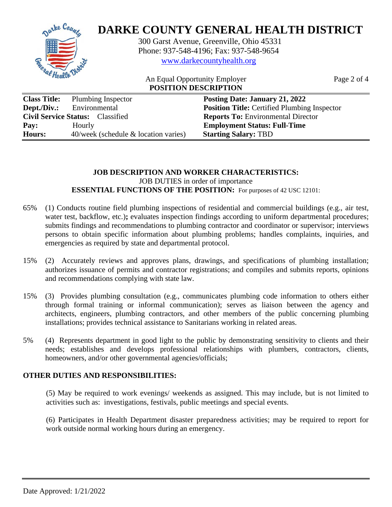

| <b>Class Title:</b> | Plumbing Inspector                      | Posting Date: January 21, 2022                      |
|---------------------|-----------------------------------------|-----------------------------------------------------|
| Dept./Div.:         | Environmental                           | <b>Position Title:</b> Certified Plumbing Inspector |
|                     | <b>Civil Service Status:</b> Classified | <b>Reports To:</b> Environmental Director           |
| Pay:                | Hourly                                  | <b>Employment Status: Full-Time</b>                 |
| <b>Hours:</b>       | $40$ /week (schedule & location varies) | <b>Starting Salary: TBD</b>                         |

# **JOB DESCRIPTION AND WORKER CHARACTERISTICS:** JOB DUTIES in order of importance **ESSENTIAL FUNCTIONS OF THE POSITION:** For purposes of 42 USC 12101:

- 65% (1) Conducts routine field plumbing inspections of residential and commercial buildings (e.g., air test, water test, backflow, etc.); evaluates inspection findings according to uniform departmental procedures; submits findings and recommendations to plumbing contractor and coordinator or supervisor; interviews persons to obtain specific information about plumbing problems; handles complaints, inquiries, and emergencies as required by state and departmental protocol.
- 15% (2) Accurately reviews and approves plans, drawings, and specifications of plumbing installation; authorizes issuance of permits and contractor registrations; and compiles and submits reports, opinions and recommendations complying with state law.
- 15% (3) Provides plumbing consultation (e.g., communicates plumbing code information to others either through formal training or informal communication); serves as liaison between the agency and architects, engineers, plumbing contractors, and other members of the public concerning plumbing installations; provides technical assistance to Sanitarians working in related areas.
- 5% (4) Represents department in good light to the public by demonstrating sensitivity to clients and their needs; establishes and develops professional relationships with plumbers, contractors, clients, homeowners, and/or other governmental agencies/officials;

# **OTHER DUTIES AND RESPONSIBILITIES:**

(5) May be required to work evenings/ weekends as assigned. This may include, but is not limited to activities such as: investigations, festivals, public meetings and special events.

(6) Participates in Health Department disaster preparedness activities; may be required to report for work outside normal working hours during an emergency.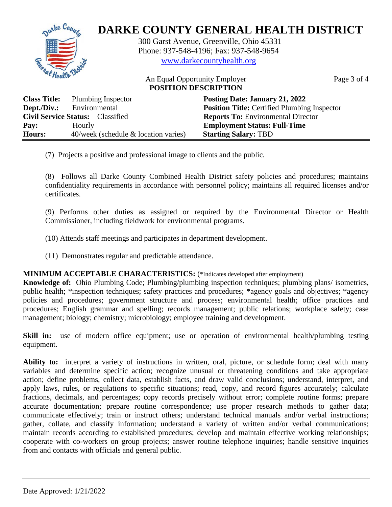

| Class Title. | <b>FIGHTOTHE HISPECTOL</b>              | I USUNG Date. January 21, 2022                      |
|--------------|-----------------------------------------|-----------------------------------------------------|
| Dept./Div.:  | Environmental                           | <b>Position Title:</b> Certified Plumbing Inspector |
|              | <b>Civil Service Status:</b> Classified | <b>Reports To: Environmental Director</b>           |
| Pay:         | Hourly                                  | <b>Employment Status: Full-Time</b>                 |
| Hours:       | $40$ /week (schedule & location varies) | <b>Starting Salary: TBD</b>                         |

(7) Projects a positive and professional image to clients and the public.

(8) Follows all Darke County Combined Health District safety policies and procedures; maintains confidentiality requirements in accordance with personnel policy; maintains all required licenses and/or certificates.

(9) Performs other duties as assigned or required by the Environmental Director or Health Commissioner, including fieldwork for environmental programs.

(10) Attends staff meetings and participates in department development.

(11) Demonstrates regular and predictable attendance.

# **MINIMUM ACCEPTABLE CHARACTERISTICS:** (\*Indicates developed after employment)

**Knowledge of:** Ohio Plumbing Code; Plumbing/plumbing inspection techniques; plumbing plans/ isometrics, public health; \*inspection techniques; safety practices and procedures; \*agency goals and objectives; \*agency policies and procedures; government structure and process; environmental health; office practices and procedures; English grammar and spelling; records management; public relations; workplace safety; case management; biology; chemistry; microbiology; employee training and development.

**Skill in:** use of modern office equipment; use or operation of environmental health/plumbing testing equipment.

**Ability to:** interpret a variety of instructions in written, oral, picture, or schedule form; deal with many variables and determine specific action; recognize unusual or threatening conditions and take appropriate action; define problems, collect data, establish facts, and draw valid conclusions; understand, interpret, and apply laws, rules, or regulations to specific situations; read, copy, and record figures accurately; calculate fractions, decimals, and percentages; copy records precisely without error; complete routine forms; prepare accurate documentation; prepare routine correspondence; use proper research methods to gather data; communicate effectively; train or instruct others; understand technical manuals and/or verbal instructions; gather, collate, and classify information; understand a variety of written and/or verbal communications; maintain records according to established procedures; develop and maintain effective working relationships; cooperate with co-workers on group projects; answer routine telephone inquiries; handle sensitive inquiries from and contacts with officials and general public.